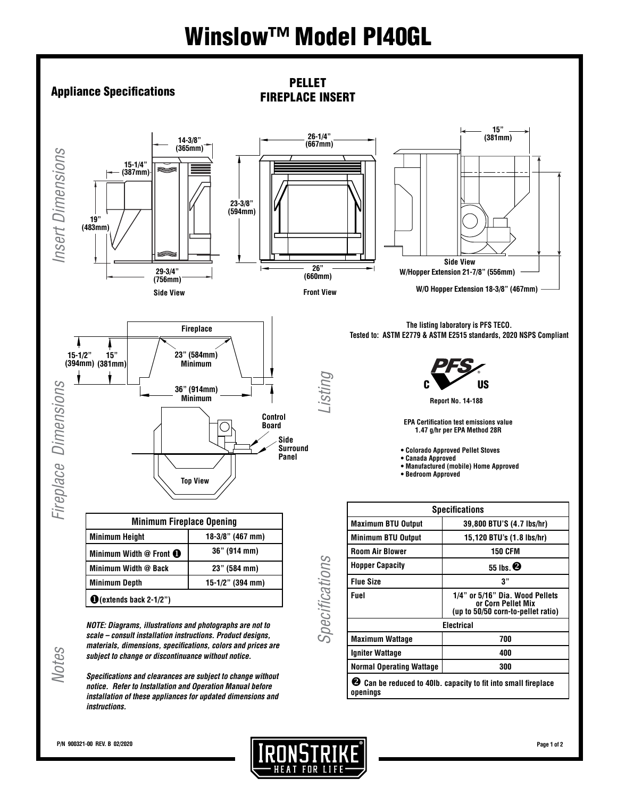# Winslow™ Model PI40GL



*Specifications and clearances are subject to change without notice. Refer to Installation and Operation Manual before installation of these appliances for updated dimensions and instructions.*

 $\bullet$  Can be reduced to 40lb. capacity to fit into small fireplace **openings**